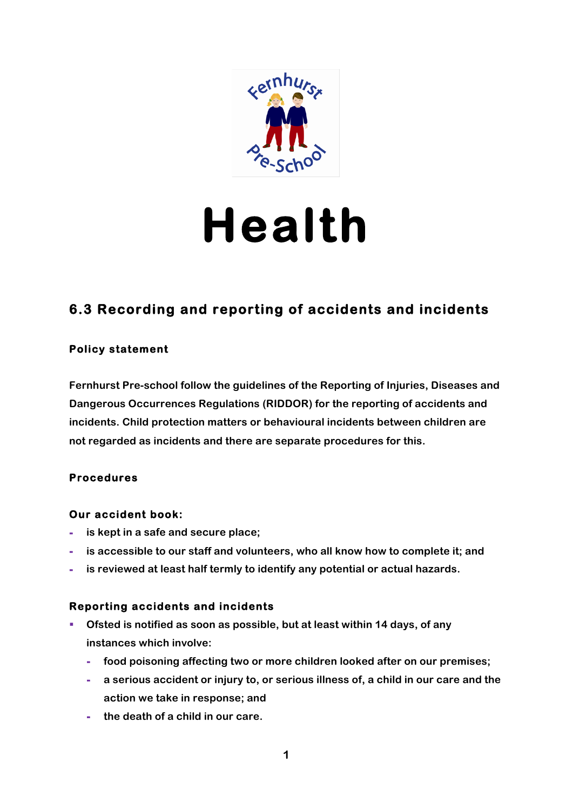

# **Health**

# **6.3 Recording and reporting of accidents and incidents**

# **Policy statement**

**Fernhurst Pre-school follow the guidelines of the Reporting of Injuries, Diseases and Dangerous Occurrences Regulations (RIDDOR) for the reporting of accidents and incidents. Child protection matters or behavioural incidents between children are not regarded as incidents and there are separate procedures for this.**

# **Procedures**

# **Our accident book:**

- **- is kept in a safe and secure place;**
- **- is accessible to our staff and volunteers, who all know how to complete it; and**
- **- is reviewed at least half termly to identify any potential or actual hazards.**

# **Reporting accidents and incidents**

- § **Ofsted is notified as soon as possible, but at least within 14 days, of any instances which involve:**
	- **- food poisoning affecting two or more children looked after on our premises;**
	- **- a serious accident or injury to, or serious illness of, a child in our care and the action we take in response; and**
	- **- the death of a child in our care.**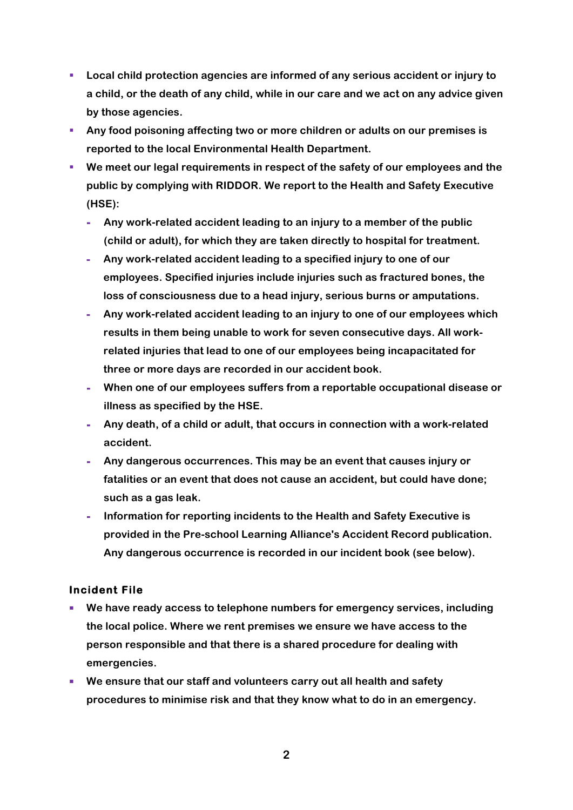- § **Local child protection agencies are informed of any serious accident or injury to a child, or the death of any child, while in our care and we act on any advice given by those agencies.**
- § **Any food poisoning affecting two or more children or adults on our premises is reported to the local Environmental Health Department.**
- § **We meet our legal requirements in respect of the safety of our employees and the public by complying with RIDDOR. We report to the Health and Safety Executive (HSE):**
	- **- Any work-related accident leading to an injury to a member of the public (child or adult), for which they are taken directly to hospital for treatment.**
	- **- Any work-related accident leading to a specified injury to one of our employees. Specified injuries include injuries such as fractured bones, the loss of consciousness due to a head injury, serious burns or amputations.**
	- **- Any work-related accident leading to an injury to one of our employees which results in them being unable to work for seven consecutive days. All workrelated injuries that lead to one of our employees being incapacitated for three or more days are recorded in our accident book.**
	- **- When one of our employees suffers from a reportable occupational disease or illness as specified by the HSE.**
	- **- Any death, of a child or adult, that occurs in connection with a work-related accident.**
	- **- Any dangerous occurrences. This may be an event that causes injury or fatalities or an event that does not cause an accident, but could have done; such as a gas leak.**
	- **- Information for reporting incidents to the Health and Safety Executive is provided in the Pre-school Learning Alliance's Accident Record publication. Any dangerous occurrence is recorded in our incident book (see below).**

#### **Incident File**

- We have ready access to telephone numbers for emergency services, including **the local police. Where we rent premises we ensure we have access to the person responsible and that there is a shared procedure for dealing with emergencies.**
- We ensure that our staff and volunteers carry out all health and safety **procedures to minimise risk and that they know what to do in an emergency.**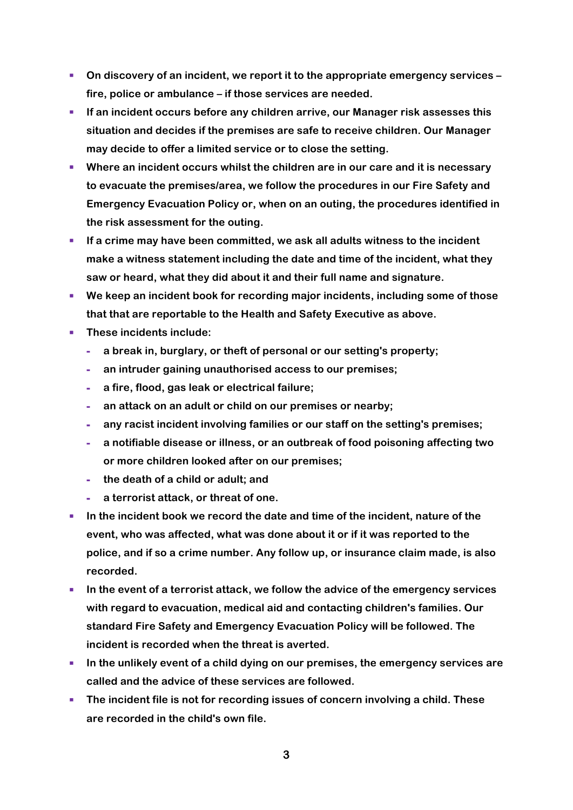- § **On discovery of an incident, we report it to the appropriate emergency services – fire, police or ambulance – if those services are needed.**
- **If an incident occurs before any children arrive, our Manager risk assesses this situation and decides if the premises are safe to receive children. Our Manager may decide to offer a limited service or to close the setting.**
- § **Where an incident occurs whilst the children are in our care and it is necessary to evacuate the premises/area, we follow the procedures in our Fire Safety and Emergency Evacuation Policy or, when on an outing, the procedures identified in the risk assessment for the outing.**
- § **If a crime may have been committed, we ask all adults witness to the incident make a witness statement including the date and time of the incident, what they saw or heard, what they did about it and their full name and signature.**
- § **We keep an incident book for recording major incidents, including some of those that that are reportable to the Health and Safety Executive as above.**
- These incidents include:
	- **- a break in, burglary, or theft of personal or our setting's property;**
	- **- an intruder gaining unauthorised access to our premises;**
	- **- a fire, flood, gas leak or electrical failure;**
	- **- an attack on an adult or child on our premises or nearby;**
	- **- any racist incident involving families or our staff on the setting's premises;**
	- **- a notifiable disease or illness, or an outbreak of food poisoning affecting two or more children looked after on our premises;**
	- **- the death of a child or adult; and**
	- **- a terrorist attack, or threat of one.**
- § **In the incident book we record the date and time of the incident, nature of the event, who was affected, what was done about it or if it was reported to the police, and if so a crime number. Any follow up, or insurance claim made, is also recorded.**
- In the event of a terrorist attack, we follow the advice of the emergency services **with regard to evacuation, medical aid and contacting children's families. Our standard Fire Safety and Emergency Evacuation Policy will be followed. The incident is recorded when the threat is averted.**
- In the unlikely event of a child dying on our premises, the emergency services are **called and the advice of these services are followed.**
- The incident file is not for recording issues of concern involving a child. These **are recorded in the child's own file.**